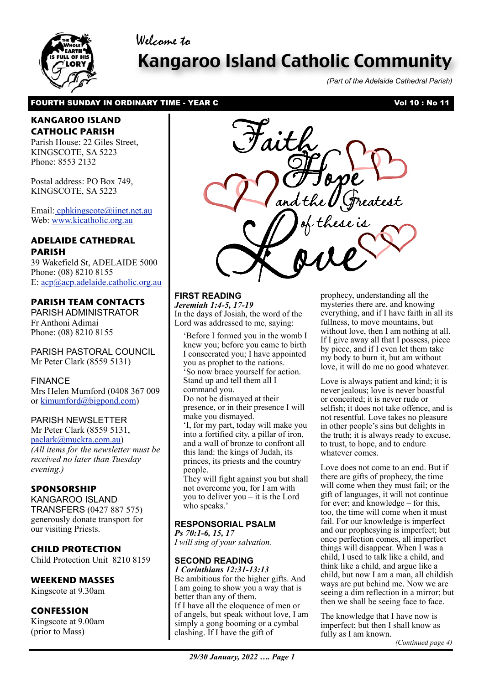# Welcome to



# Kangaroo Island Catholic Community

*(Part of the Adelaide Cathedral Parish)*

# FOURTH SUNDAY IN ORDINARY TIME - YEAR C<br>
The voltage of the voltage of the voltage of the voltage of the voltage of the voltage of the voltage of the v

# **KANGAROO ISLAND CATHOLIC PARISH**

Parish House: 22 Giles Street, KINGSCOTE, SA 5223 Phone: 8553 2132

Postal address: PO Box 749, KINGSCOTE, SA 5223

Email[: cphkingscote@iinet.net.au](mailto:cphkingscote@iinet.net.au) Web: [www.kicatholic.org.au](http://www.kicatholic.org.au)

# **ADELAIDE CATHEDRAL PARISH**

39 Wakefield St, ADELAIDE 5000 Phone: (08) 8210 8155 E: [acp@acp.adelaide.catholic.org.au](mailto:?subject=)

# **PARISH TEAM CONTACTS**

PARISH ADMINISTRATOR Fr Anthoni Adimai Phone: (08) 8210 8155

PARISH PASTORAL COUNCIL Mr Peter Clark (8559 5131)

# FINANCE

Mrs Helen Mumford (0408 367 009 or [kimumford@bigpond.com\)](mailto:kimumford@bigpond.com)

# PARISH NEWSLETTER

Mr Peter Clark (8559 5131, [paclark@muckra.com.au\)](mailto:paclark@muckra.com.au) *(All items for the newsletter must be received no later than Tuesday evening.)*

# **SPONSORSHIP**

KANGAROO ISLAND TRANSFERS (0427 887 575) generously donate transport for our visiting Priests.

# **CHILD PROTECTION**

Child Protection Unit 8210 8159

#### **WEEKEND MASSES**

Kingscote at 9.30am

#### **CONFESSION**

Kingscote at 9.00am (prior to Mass)



#### **FIRST READING** *Jeremiah 1:4-5, 17-19*

In the days of Josiah, the word of the Lord was addressed to me, saying:

'Before I formed you in the womb I knew you; before you came to birth I consecrated you; I have appointed you as prophet to the nations. 'So now brace yourself for action. Stand up and tell them all I command you. Do not be dismayed at their presence, or in their presence I will

make you dismayed. 'I, for my part, today will make you into a fortified city, a pillar of iron, and a wall of bronze to confront all this land: the kings of Judah, its princes, its priests and the country people.

They will fight against you but shall not overcome you, for I am with you to deliver you – it is the Lord who speaks.'

# **RESPONSORIAL PSALM**

*Ps 70:1-6, 15, 17*

*I will sing of your salvation.*

# **SECOND READING**

 clashing. If I have the gift of *1 Corinthians 12:31-13:13* Be ambitious for the higher gifts. And I am going to show you a way that is better than any of them. If I have all the eloquence of men or of angels, but speak without love, I am simply a gong booming or a cymbal

prophecy, understanding all the mysteries there are, and knowing everything, and if I have faith in all its fullness, to move mountains, but without love, then I am nothing at all. If I give away all that I possess, piece by piece, and if I even let them take my body to burn it, but am without love, it will do me no good whatever.

Love is always patient and kind; it is never jealous; love is never boastful or conceited; it is never rude or selfish; it does not take offence, and is not resentful. Love takes no pleasure in other people's sins but delights in the truth; it is always ready to excuse, to trust, to hope, and to endure whatever comes.

Love does not come to an end. But if there are gifts of prophecy, the time will come when they must fail; or the gift of languages, it will not continue for ever; and knowledge – for this, too, the time will come when it must fail. For our knowledge is imperfect and our prophesying is imperfect; but once perfection comes, all imperfect things will disappear. When I was a child, I used to talk like a child, and think like a child, and argue like a child, but now I am a man, all childish ways are put behind me. Now we are seeing a dim reflection in a mirror; but then we shall be seeing face to face.

The knowledge that I have now is imperfect; but then I shall know as fully as I am known.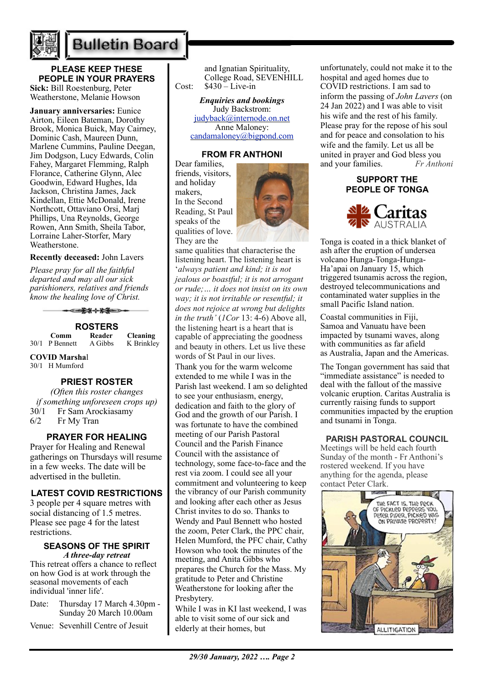

# **Bulletin Board**

**PLEASE KEEP THESE PEOPLE IN YOUR PRAYERS Sick:** Bill Roestenburg, Peter Weatherstone, Melanie Howson

**January anniversaries:** Eunice Airton, Eileen Bateman, Dorothy Brook, Monica Buick, May Cairney, Dominic Cash, Maureen Dunn, Marlene Cummins, Pauline Deegan, Jim Dodgson, Lucy Edwards, Colin Fahey, Margaret Flemming, Ralph Florance, Catherine Glynn, Alec Goodwin, Edward Hughes, Ida Jackson, Christina James, Jack Kindellan, Ettie McDonald, Irene Northcott, Ottaviano Orsi, Marj Phillips, Una Reynolds, George Rowen, Ann Smith, Sheila Tabor, Lorraine Laher-Storfer, Mary Weatherstone.

#### **Recently deceased:** John Lavers

*Please pray for all the faithful departed and may all our sick parishioners, relatives and friends know the healing love of Christ.*

▅<del>▛</del>▓⊹▓▓▅⋺

**ROSTERS Comm Reader Cleaning** 30/1 P Bennett A Gibbs K Brinkley

**COVID Marsha**l 30/1 H Mumford

#### **PRIEST ROSTER**

*(Often this roster changes if something unforeseen crops up)* 30/1 Fr Sam Arockiasamy 6/2 Fr My Tran

#### **PRAYER FOR HEALING**

Prayer for Healing and Renewal gatherings on Thursdays will resume in a few weeks. The date will be advertised in the bulletin.

#### **LATEST COVID RESTRICTIONS**

3 people per 4 square metres with social distancing of 1.5 metres. Please see page 4 for the latest restrictions.

#### **SEASONS OF THE SPIRIT** *A three-day retreat*

This retreat offers a chance to reflect on how God is at work through the seasonal movements of each individual 'inner life'.

- Date: Thursday 17 March 4.30pm Sunday 20 March 10.00am
- Venue: Sevenhill Centre of Jesuit

 and Ignatian Spirituality, College Road, SEVENHILL Cost: \$430 – Live-in

> *Enquiries and bookings* Judy Backstrom: [judyback@internode.on.net](mailto:judyback@internode.on.net) Anne Maloney: [candamaloney@bigpond.com](mailto:candamaloney@bigpond.com)

#### **FROM FR ANTHONI**

Dear families, friends, visitors, and holiday makers, In the Second Reading, St Paul speaks of the qualities of love. They are the



same qualities that characterise the listening heart. The listening heart is '*always patient and kind; it is not jealous or boastful; it is not arrogant or rude;… it does not insist on its own way; it is not irritable or resentful; it does not rejoice at wrong but delights in the truth'* (*1Cor* 13: 4-6) Above all, the listening heart is a heart that is capable of appreciating the goodness and beauty in others. Let us live these words of St Paul in our lives. Thank you for the warm welcome extended to me while I was in the Parish last weekend. I am so delighted to see your enthusiasm, energy, dedication and faith to the glory of God and the growth of our Parish. I was fortunate to have the combined meeting of our Parish Pastoral Council and the Parish Finance Council with the assistance of technology, some face-to-face and the rest via zoom. I could see all your commitment and volunteering to keep the vibrancy of our Parish community and looking after each other as Jesus Christ invites to do so. Thanks to Wendy and Paul Bennett who hosted the zoom, Peter Clark, the PPC chair, Helen Mumford, the PFC chair, Cathy Howson who took the minutes of the meeting, and Anita Gibbs who prepares the Church for the Mass. My gratitude to Peter and Christine Weatherstone for looking after the Presbytery.

While I was in KI last weekend, I was able to visit some of our sick and elderly at their homes, but

unfortunately, could not make it to the hospital and aged homes due to COVID restrictions. I am sad to inform the passing of *John Lavers* (on 24 Jan 2022) and I was able to visit his wife and the rest of his family. Please pray for the repose of his soul and for peace and consolation to his wife and the family. Let us all be united in prayer and God bless you and your families. *Fr Anthoni*

#### **SUPPORT THE PEOPLE OF TONGA**



Tonga is coated in a thick blanket of ash after the eruption of undersea volcano Hunga-Tonga-Hunga-Ha'apai on January 15, which triggered tsunamis across the region, destroyed telecommunications and contaminated water supplies in the small Pacific Island nation.

Coastal communities in Fiji, Samoa and Vanuatu have been impacted by tsunami waves, along with communities as far afield as Australia, Japan and the Americas.

The Tongan government has said that "immediate assistance" is needed to deal with the fallout of the massive volcanic eruption. Caritas Australia is currently raising funds to support communities impacted by the eruption and tsunami in Tonga.

#### **PARISH PASTORAL COUNCIL**

Meetings will be held each fourth Sunday of the month - Fr Anthoni's rostered weekend. If you have anything for the agenda, please contact Peter Clark.

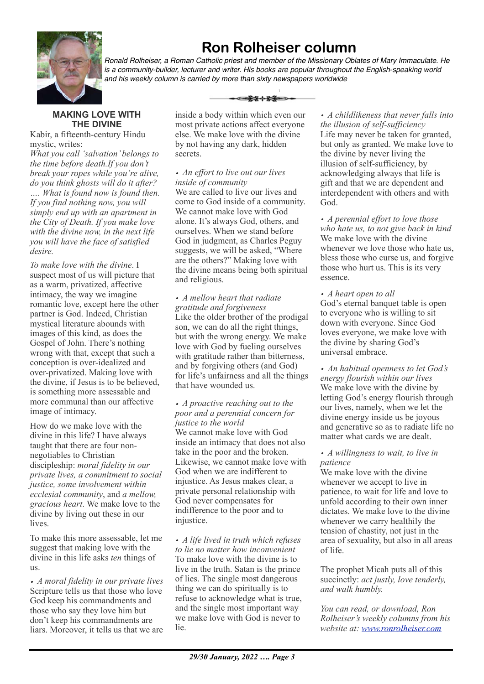

# **Ron Rolheiser column**

*Ronald Rolheiser, a Roman Catholic priest and member of the Missionary Oblates of Mary Immaculate. He*  is a community-builder, lecturer and writer. His books are popular throughout the English-speaking world *and his weekly column is carried by more than sixty newspapers worldwide*

<=≩\*+\*\*=>

# **MAKING LOVE WITH THE DIVINE**

Kabir, a fifteenth-century Hindu mystic, writes:

*What you call 'salvation' belongs to the time before death.If you don't break your ropes while you're alive, do you think ghosts will do it after? …. What is found now is found then. If you find nothing now, you will simply end up with an apartment in the City of Death. If you make love with the divine now, in the next life you will have the face of satisfied desire.* 

*To make love with the divine*. I suspect most of us will picture that as a warm, privatized, affective intimacy, the way we imagine romantic love, except here the other partner is God. Indeed, Christian mystical literature abounds with images of this kind, as does the Gospel of John. There's nothing wrong with that, except that such a conception is over-idealized and over-privatized. Making love with the divine, if Jesus is to be believed, is something more assessable and more communal than our affective image of intimacy.

How do we make love with the divine in this life? I have always taught that there are four nonnegotiables to Christian discipleship: *moral fidelity in our private lives, a commitment to social justice, some involvement within ecclesial community*, and *a mellow, gracious heart*. We make love to the divine by living out these in our lives.

To make this more assessable, let me suggest that making love with the divine in this life asks *ten* things of  $\overline{11S}$ .

*• A moral fidelity in our private lives*  Scripture tells us that those who love God keep his commandments and those who say they love him but don't keep his commandments are liars. Moreover, it tells us that we are

inside a body within which even our most private actions affect everyone else. We make love with the divine by not having any dark, hidden secrets.

# *• An effort to live out our lives inside of community*

We are called to live our lives and come to God inside of a community. We cannot make love with God alone. It's always God, others, and ourselves. When we stand before God in judgment, as Charles Peguy suggests, we will be asked, "Where are the others?" Making love with the divine means being both spiritual and religious.

*• A mellow heart that radiate gratitude and forgiveness* Like the older brother of the prodigal son, we can do all the right things, but with the wrong energy. We make love with God by fueling ourselves with gratitude rather than bitterness, and by forgiving others (and God) for life's unfairness and all the things that have wounded us.

### *• A proactive reaching out to the poor and a perennial concern for justice to the world*

We cannot make love with God inside an intimacy that does not also take in the poor and the broken. Likewise, we cannot make love with God when we are indifferent to injustice. As Jesus makes clear, a private personal relationship with God never compensates for indifference to the poor and to injustice.

*• A life lived in truth which refuses to lie no matter how inconvenient* To make love with the divine is to live in the truth. Satan is the prince of lies. The single most dangerous thing we can do spiritually is to refuse to acknowledge what is true, and the single most important way we make love with God is never to lie.

*• A childlikeness that never falls into the illusion of self-sufficiency* Life may never be taken for granted, but only as granted. We make love to the divine by never living the illusion of self-sufficiency, by acknowledging always that life is gift and that we are dependent and interdependent with others and with God.

*• A perennial effort to love those who hate us, to not give back in kind* We make love with the divine whenever we love those who hate us. bless those who curse us, and forgive those who hurt us. This is its very essence.

#### *• A heart open to all*

God's eternal banquet table is open to everyone who is willing to sit down with everyone. Since God loves everyone, we make love with the divine by sharing God's universal embrace.

*• An habitual openness to let God's energy flourish within our lives* We make love with the divine by letting God's energy flourish through our lives, namely, when we let the divine energy inside us be joyous and generative so as to radiate life no matter what cards we are dealt.

#### *• A willingness to wait, to live in patience*

We make love with the divine whenever we accept to live in patience, to wait for life and love to unfold according to their own inner dictates. We make love to the divine whenever we carry healthily the tension of chastity, not just in the area of sexuality, but also in all areas of life.

The prophet Micah puts all of this succinctly: *act justly, love tenderly, and walk humbly.*

*You can read, or download, Ron Rolheiser's weekly columns from his website at: [www.ronrolheiser.com](http://www.ronrolheiser.com)*